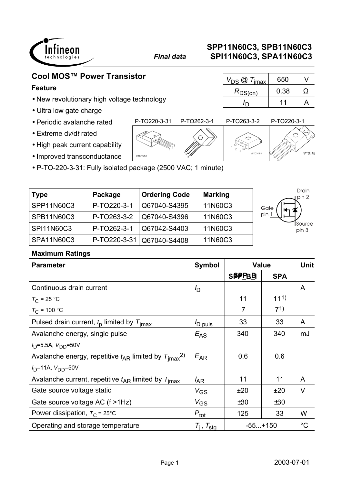

 $R_{DS(on)}$  0.38  $\Omega$ 

*I*<sub>D</sub> 11 A

# **Cool MOS™ Power Transistor**  $\sqrt{V_{DS} \omega T_{\text{fmax}}$  650 V

## **Feature**

- New revolutionary high voltage technology
- Ultra low gate charge
- Periodic avalanche rated
- Extreme d*v*/d*t* rated
- High peak current capability
- Improved transconductance
- P-TO-220-3-31: Fully isolated package (2500 VAC; 1 minute)

| <b>Type</b>       | Package        | <b>Ordering Code</b> | <b>Marking</b> | Drain<br>pin 2  |
|-------------------|----------------|----------------------|----------------|-----------------|
| SPP11N60C3        | P-TO220-3-1    | Q67040-S4395         | 11N60C3        | Gate            |
| SPB11N60C3        | P-TO263-3-2    | Q67040-S4396         | 11N60C3        | pin             |
| <b>SPI11N60C3</b> | P-TO262-3-1    | Q67042-S4403         | 11N60C3        | Source<br>pin 3 |
| <b>SPA11N60C3</b> | $P-TO220-3-31$ | Q67040-S4408         | 11N60C3        |                 |

## **Maximum Ratings**

| <b>Parameter</b>                                                         | <b>Symbol</b>       |                | <b>Value</b>    | <b>Unit</b> |
|--------------------------------------------------------------------------|---------------------|----------------|-----------------|-------------|
|                                                                          |                     | <b>SBPPBB</b>  | <b>SPA</b>      |             |
| Continuous drain current                                                 | $I_{\mathsf{D}}$    |                |                 | A           |
| $T_{\rm C}$ = 25 °C                                                      |                     | 11             | 11 <sup>1</sup> |             |
| $T_{C}$ = 100 °C                                                         |                     | $\overline{7}$ | 71)             |             |
| Pulsed drain current, $t_0$ limited by $T_{\text{imax}}$                 | <sup>I</sup> D puls | 33             | 33              | A           |
| Avalanche energy, single pulse                                           | $E_{AS}$            | 340            | 340             | mJ          |
| $I_D = 5.5A, V_{DD} = 50V$                                               |                     |                |                 |             |
| Avalanche energy, repetitive $t_{AR}$ limited by $T_{\text{imax}}^{2}$ . | $E_{AR}$            | 0.6            | 0.6             |             |
| $I_D$ =11A, $V_{DD}$ =50V                                                |                     |                |                 |             |
| Avalanche current, repetitive $t_{AR}$ limited by $T_{\text{imax}}$      | $I_{AR}$            | 11             | 11              | A           |
| Gate source voltage static                                               | $V_{GS}$            | ±20            | ±20             | V           |
| Gate source voltage AC (f >1Hz)                                          | $V_{GS}$            | ±30            | ±30             |             |
| Power dissipation, $T_c = 25^{\circ}C$                                   | $P_{\text{tot}}$    | 125            | 33              | W           |
| Operating and storage temperature                                        | $T_i$ , $T_{sta}$   | $-55+150$      |                 | $^{\circ}C$ |

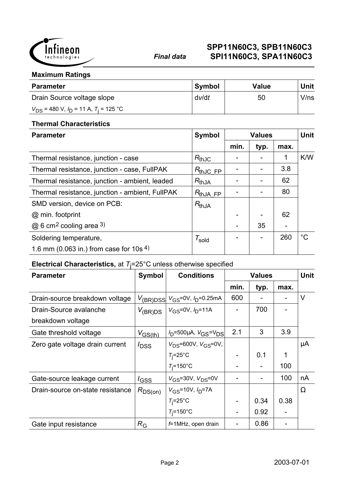

### **Maximum Ratings**

| <b>Parameter</b>                               | Symbol | <b>Value</b> | <b>Unit</b> |
|------------------------------------------------|--------|--------------|-------------|
| Drain Source voltage slope                     | dv/dt  | 50           | V/ns        |
| $V_{DS}$ = 480 V, $I_D$ = 11 A, $T_i$ = 125 °C |        |              |             |

#### **Thermal Characteristics**

| <b>Parameter</b>                                | <b>Symbol</b>          |      | <b>Values</b> |      | <b>Unit</b> |
|-------------------------------------------------|------------------------|------|---------------|------|-------------|
|                                                 |                        | min. | typ.          | max. |             |
| Thermal resistance, junction - case             | $R_{thJC}$             |      |               | 1    | K/W         |
| Thermal resistance, junction - case, FullPAK    | $R_{thJC, FP}$         |      |               | 3.8  |             |
| Thermal resistance, junction - ambient, leaded  | $R_{thJA}$             |      |               | 62   |             |
| Thermal resistance, junction - ambient, FullPAK | $R_{th, IA, FP}$       |      |               | 80   |             |
| SMD version, device on PCB:                     | $R_{thJA}$             |      |               |      |             |
| @ min. footprint                                |                        |      |               | 62   |             |
| $@6$ cm <sup>2</sup> cooling area 3)            |                        |      | 35            |      |             |
| Soldering temperature,                          | $\tau_{\textsf{gold}}$ |      |               | 260  | $^{\circ}C$ |
| 1.6 mm (0.063 in.) from case for $10s^{4}$      |                        |      |               |      |             |

## **Electrical Characteristics,** at *T*j =25°C unless otherwise specified

| <b>Parameter</b>                 | <b>Symbol</b>    | <b>Conditions</b>                                       | <b>Values</b> |      |      | <b>Unit</b> |
|----------------------------------|------------------|---------------------------------------------------------|---------------|------|------|-------------|
|                                  |                  |                                                         | min.          | typ. | max. |             |
| Drain-source breakdown voltage   |                  | $V_{\rm (BR)DSS}$ $V_{\rm GS}$ =0V, $I_{\rm D}$ =0.25mA | 600           |      |      | V           |
| Drain-Source avalanche           | $V_{\rm (BR)DS}$ | $V_{GS} = 0V$ , $I_{D} = 11A$                           |               | 700  |      |             |
| breakdown voltage                |                  |                                                         |               |      |      |             |
| Gate threshold voltage           | $V_{GS(th)}$     | $V_D$ =500µA, $V_{GS}$ = $V_{DS}$                       | 2.1           | 3    | 3.9  |             |
| Zero gate voltage drain current  | $I_{\text{DSS}}$ | $V_{DS} = 600V$ , $V_{GS} = 0V$ ,                       |               |      |      | μA          |
|                                  |                  | $T_i = 25^\circ \text{C}$                               |               | 0.1  | 1    |             |
|                                  |                  | $T_i = 150$ °C                                          |               |      | 100  |             |
| Gate-source leakage current      | $I_{GSS}$        | $V_{GS}$ =30V, $V_{DS}$ =0V                             |               |      | 100  | nA          |
| Drain-source on-state resistance | $R_{DS(on)}$     | $V_{GS}$ =10V, $I_{D}$ =7A                              |               |      |      | $\Omega$    |
|                                  |                  | $T_i = 25^\circ \text{C}$                               |               | 0.34 | 0.38 |             |
|                                  |                  | $T_i = 150$ °C                                          |               | 0.92 |      |             |
| Gate input resistance            | $R_{\rm G}$      | f=1MHz, open drain                                      |               | 0.86 |      |             |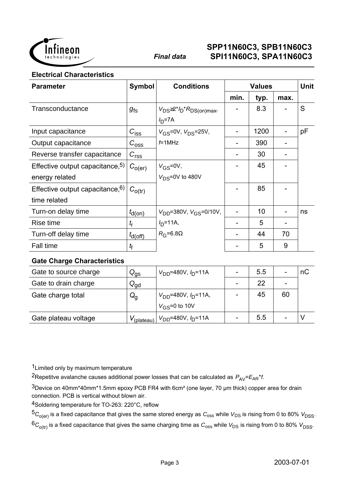

#### **Electrical Characteristics**

| <b>Parameter</b>                    | <b>Symbol</b>         | <b>Conditions</b>                           | <b>Values</b> |      |      | <b>Unit</b> |
|-------------------------------------|-----------------------|---------------------------------------------|---------------|------|------|-------------|
|                                     |                       |                                             | min.          | typ. | max. |             |
| Transconductance                    | $g_{\text{fs}}$       | $V_{DS} \geq 2 \times 10^{4} R_{DS(0n)max}$ |               | 8.3  |      | S           |
|                                     |                       | $ID=7A$                                     |               |      |      |             |
| Input capacitance                   | $C_{\text{iss}}$      | $V_{GS} = 0V$ , $V_{DS} = 25V$ ,            |               | 1200 |      | pF          |
| Output capacitance                  | $C_{\rm 0SS}$         | $f=1$ MHz                                   |               | 390  |      |             |
| Reverse transfer capacitance        | $C_{rs\underline{s}}$ |                                             |               | 30   |      |             |
| Effective output capacitance, $5$ ) | $C_{O(\text{er})}$    | $V_{GS} = 0V$ ,                             |               | 45   |      |             |
| energy related                      |                       | $V_{DS} = 0V$ to 480V                       |               |      |      |             |
| Effective output capacitance, $6$ ) | $C_{\rm o(tr)}$       |                                             |               | 85   |      |             |
| time related                        |                       |                                             |               |      |      |             |
| Turn-on delay time                  | $t_{d(on)}$           | $V_{DD} = 380V$ , $V_{GS} = 0/10V$ ,        |               | 10   |      | ns          |
| Rise time                           | $t_{\sf r}$           | $I_{D} = 11A,$                              |               | 5    |      |             |
| Turn-off delay time                 | $t_{d(Off)}$          | $R_G = 6.8\Omega$                           |               | 44   | 70   |             |
| <b>Fall time</b>                    | t <sub>f</sub>        |                                             |               | 5    | 9    |             |

#### **Gate Charge Characteristics**

| Gate to source charge | $Q_{\text{gs}}$   | $V_{DD}$ =480V, $I_{D}$ =11A | -                        | 5.5 |    | пC |
|-----------------------|-------------------|------------------------------|--------------------------|-----|----|----|
| Gate to drain charge  | $\rm{Q_{gd}}$     |                              | $\overline{\phantom{0}}$ | 22  |    |    |
| Gate charge total     | ${\sf Q}_{\sf q}$ | $V_{DD}$ =480V, $I_D$ =11A,  |                          | 45  | 60 |    |
|                       |                   | $V_{\rm GS} = 0$ to 10V      |                          |     |    |    |
| Gate plateau voltage  | $V_{(plateau)}$   | $V_{DD} = 480V, I_D = 11A$   | -                        | 5.5 |    |    |

1Limited only by maximum temperature

<sup>2</sup>Repetitve avalanche causes additional power losses that can be calculated as  $P_{AV} = E_{AR} * f$ .

3Device on 40mm\*40mm\*1.5mm epoxy PCB FR4 with 6cm² (one layer, 70 µm thick) copper area for drain connection. PCB is vertical without blown air.

4Soldering temperature for TO-263: 220°C, reflow

 $5C_{O(er)}$  is a fixed capacitance that gives the same stored energy as  $C_{oss}$  while  $V_{DS}$  is rising from 0 to 80%  $V_{DSS}$ .

 ${}^6C_{\text{o(tr)}}$  is a fixed capacitance that gives the same charging time as  $C_{\text{oss}}$  while  $V_{\text{DS}}$  is rising from 0 to 80%  $V_{\text{DSS}}$ .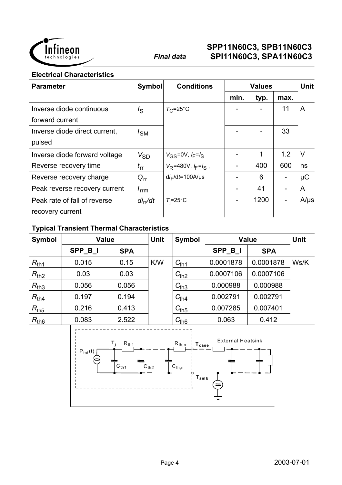

**Electrical Characteristics**

| <b>Parameter</b>              | <b>Symbol</b>    | <b>Conditions</b>          | <b>Values</b>            |      |      | <b>Unit</b> |
|-------------------------------|------------------|----------------------------|--------------------------|------|------|-------------|
|                               |                  |                            | min.                     | typ. | max. |             |
| Inverse diode continuous      | $I_{\rm S}$      | $T_{\rm C}$ =25°C          |                          |      | 11   | A           |
| forward current               |                  |                            |                          |      |      |             |
| Inverse diode direct current, | $I_{SM}$         |                            |                          |      | 33   |             |
| pulsed                        |                  |                            |                          |      |      |             |
| Inverse diode forward voltage | $V_{SD}$         | $V_{GS} = 0V, I_F = I_S$   |                          | 1    | 1.2  | V           |
| Reverse recovery time         | $t_{\rm{rr}}$    | $V_R$ =480V, $I_F = I_S$ , |                          | 400  | 600  | ns          |
| Reverse recovery charge       | $Q_{rr}$         | $di_F/dt = 100A/\mu s$     |                          | 6    |      | $\mu$ C     |
| Peak reverse recovery current | $I_{\text{rrm}}$ |                            | $\overline{\phantom{a}}$ | 41   |      | A           |
| Peak rate of fall of reverse  | $di_{rr}/dt$     | $T_i = 25$ °C              | $\overline{\phantom{a}}$ | 1200 |      | $A/\mu s$   |
| recovery current              |                  |                            |                          |      |      |             |

## **Typical Transient Thermal Characteristics**

| <b>Symbol</b>      |                     | <b>Value</b>                                                                   | <b>Unit</b> | <b>Symbol</b><br><b>Value</b>                                                     |                          |            | <b>Unit</b> |
|--------------------|---------------------|--------------------------------------------------------------------------------|-------------|-----------------------------------------------------------------------------------|--------------------------|------------|-------------|
|                    | SPP_B_I             | <b>SPA</b>                                                                     |             |                                                                                   | SPP_B_I                  | <b>SPA</b> |             |
| $R_{th1}$          | 0.015               | 0.15                                                                           | K/W         | $C_{\underline{th1}}$                                                             | 0.0001878                | 0.0001878  | Ws/K        |
| $R_{th2}$          | 0.03                | 0.03                                                                           |             | $C_{th2}$                                                                         | 0.0007106                | 0.0007106  |             |
| $R_{th3}$          | 0.056               | 0.056                                                                          |             | $C_{th3}$                                                                         | 0.000988                 | 0.000988   |             |
| $R_{th4}$          | 0.197               | 0.194                                                                          |             | $C_{\underline{th4}}$                                                             | 0.002791                 | 0.002791   |             |
| $R_{\mathsf{th5}}$ | 0.216               | 0.413                                                                          |             | $C_{th5}$                                                                         | 0.007285                 | 0.007401   |             |
| $R_{th6}$          | 0.083               | 2.522                                                                          |             | $C_{\underline{th6}}$                                                             | 0.063                    | 0.412      |             |
|                    | $P_{\text{tot}}(t)$ | $T_{\rm j}$<br>$R_{\underline{th1}}$<br>$\Gamma$ C <sub>th2</sub><br>$C_{th1}$ |             | $R_{\underline{th},n}$<br>$\mathbf{T}_{\texttt{case}}$<br>$C_{th,n}$<br>$T_{amb}$ | <b>External Heatsink</b> |            |             |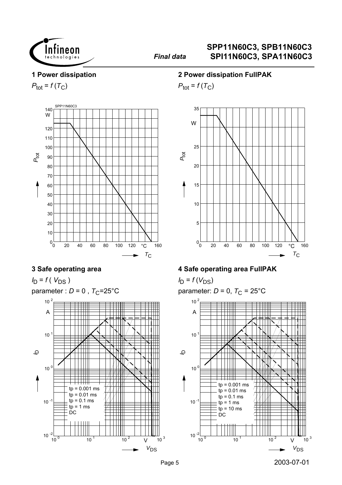

#### **1 Power dissipation**

 $P_{\text{tot}} = f(T_C)$ 



### **3 Safe operating area**

 $I_D = f(V_{DS})$ parameter :  $D = 0$ ,  $T_C = 25^{\circ}$ C



#### **2 Power dissipation FullPAK**

 $P_{\text{tot}} = f(T_C)$ 



#### **4 Safe operating area FullPAK**

 $I_D = f(V_{DS})$ parameter:  $D = 0$ ,  $T_C = 25^{\circ}$ C

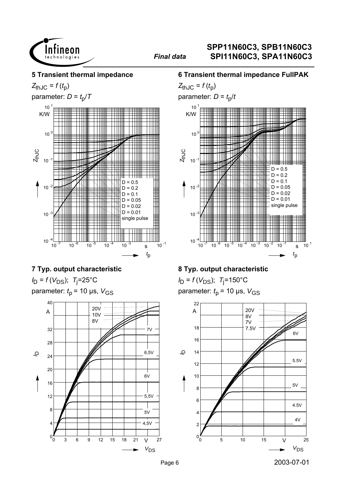

#### **5 Transient thermal impedance**

 $Z_{thJC} = f(t_p)$ parameter:  $D = t_0/T$ 



#### **7 Typ. output characteristic**

 $I_D = f(V_{DS})$ ; T<sub>j</sub>=25°C parameter:  $t_p$  = 10 µs,  $V_{GS}$ 



## **6 Transient thermal impedance FullPAK**

 $Z_{thJC} = f(t_D)$ parameter:  $D = t_0/t$ 



## **8 Typ. output characteristic**

*I*<sub>D</sub> = *f* (*V*<sub>DS</sub>); *T*<sub>j</sub>=150°C parameter:  $t_p$  = 10 µs,  $V_{GS}$ 

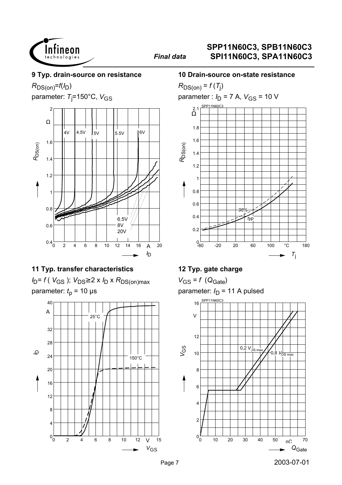

#### **9 Typ. drain-source on resistance**

 $R_{DS(on)}=f(I_D)$ 

parameter: T<sub>j</sub>=150°C, V<sub>GS</sub>



## **11 Typ. transfer characteristics**

*I*<sub>D</sub>= *f* (*V*<sub>GS</sub> ); *V*<sub>DS</sub>≥ 2 x *I*<sub>D</sub> x *R*<sub>DS(on)max</sub> parameter:  $t<sub>p</sub>$  = 10 µs



#### **10 Drain-source on-state resistance**

 $R_{DS(on)}$  =  $f(T_j)$ parameter :  $I_D$  = 7 A,  $V_{GS}$  = 10 V -60 -20 20 60 100 °C 180  $T_i$  $0 - 60$ 0.2 0.4 0.6 0.8 1 1.2 1.4 1.6 1.8 Ω 2.1 <u>SPP11N60C3</u> *R*DS(on) *typ 98%*

## **12 Typ. gate charge**

 $V_{GS} = f (Q_{Gate})$ parameter:  $I_D$  = 11 A pulsed

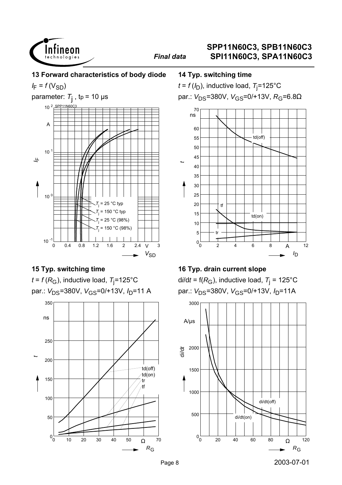

**13 Forward characteristics of body diode**

 $I_F = f(V_{SD})$ 



## **15 Typ. switching time**





#### **14 Typ. switching time**

 $t$  =  $f$  (/<sub>D</sub>), inductive load,  $\tau_{\rm j}$ =125°C par.:  $V_{DS}$ =380V,  $V_{GS}$ =0/+13V,  $R_G$ =6.8Ω



#### **16 Typ. drain current slope**

d*i*/d*t* = f(*R*<sub>G</sub>), inductive load, *T*<sub>j</sub> = 125°C par.: V<sub>DS</sub>=380V, V<sub>GS</sub>=0/+13V, I<sub>D</sub>=11A

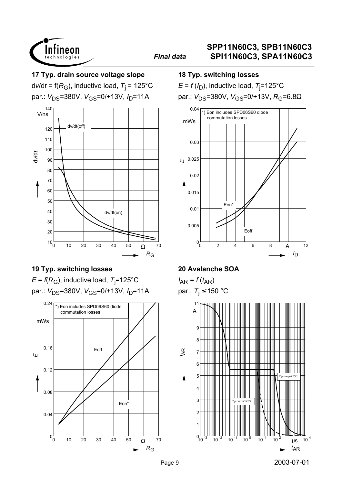

### **17 Typ. drain source voltage slope**

d*v*/d*t* = f(*R*<sub>G</sub>), inductive load, *T*<sub>j</sub> = 125°C par.: V<sub>DS</sub>=380V, V<sub>GS</sub>=0/+13V, I<sub>D</sub>=11A



## **19 Typ. switching losses**

 $\mathsf{E}$  = *f*(R<sub>G</sub>), inductive load, T<sub>j</sub>=125°C par.: V<sub>DS</sub>=380V, V<sub>GS</sub>=0/+13V, I<sub>D</sub>=11A



#### **18 Typ. switching losses**

 $E$  = *f* (/<sub>D</sub>), inductive load,  $T_{\rm j}$ =125°C par.:  $V_{DS}$ =380V,  $V_{GS}$ =0/+13V,  $R_G$ =6.8Ω



## **20 Avalanche SOA**

 $I_{AR} = f(t_{AR})$ par.:  $T_i \le 150$  °C

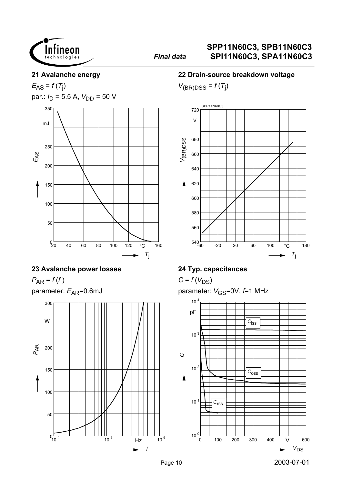

#### **21 Avalanche energy**

 $E_{AS} = f(T_j)$ par.:  $I_D = 5.5$  A,  $V_{DD} = 50$  V



### **23 Avalanche power losses**

 $P_{AR} = f(f)$ parameter:  $E_{AR}$ =0.6mJ



### **22 Drain-source breakdown voltage**

 $V_{(BR)DSS} = f(T_j)$ 



## **24 Typ. capacitances**

 $C = f(V_{DS})$ parameter:  $V_{\text{GS}}$ =0V,  $f$ =1 MHz

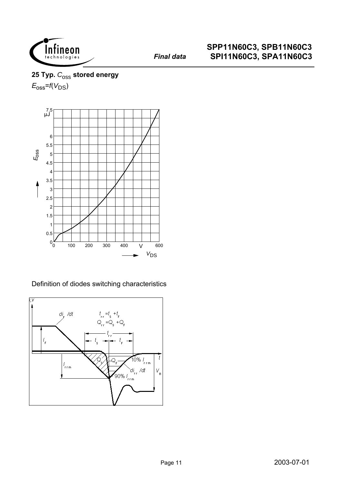

25 Typ.  $C_{\text{OSS}}$  stored energy  $E_{\rm oss}$ = $f(V_{\rm DS})$ 



Definition of diodes switching characteristics

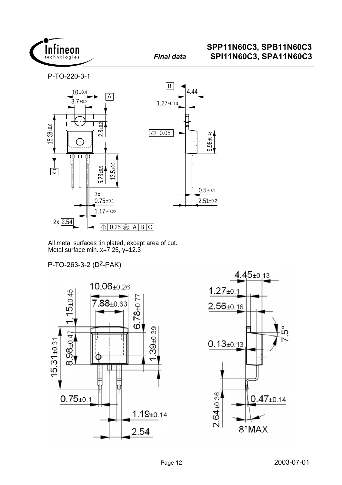

P-TO-220-3-1



All metal surfaces tin plated, except area of cut. Metal surface min.  $x=7.25$ ,  $y=12.3$ 

P-TO-263-3-2 (D2-PAK)



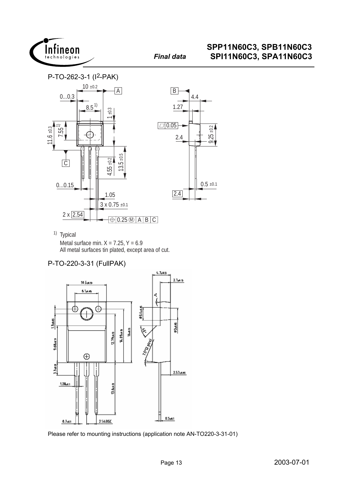





<sup>1)</sup> Typical Metal surface min.  $X = 7.25$ ,  $Y = 6.9$ <br>All metal surfaces tin plated, except area of cut.

## P-TO-220-3-31 (FullPAK)



Please refer to mounting instructions (application note AN-TO220-3-31-01)